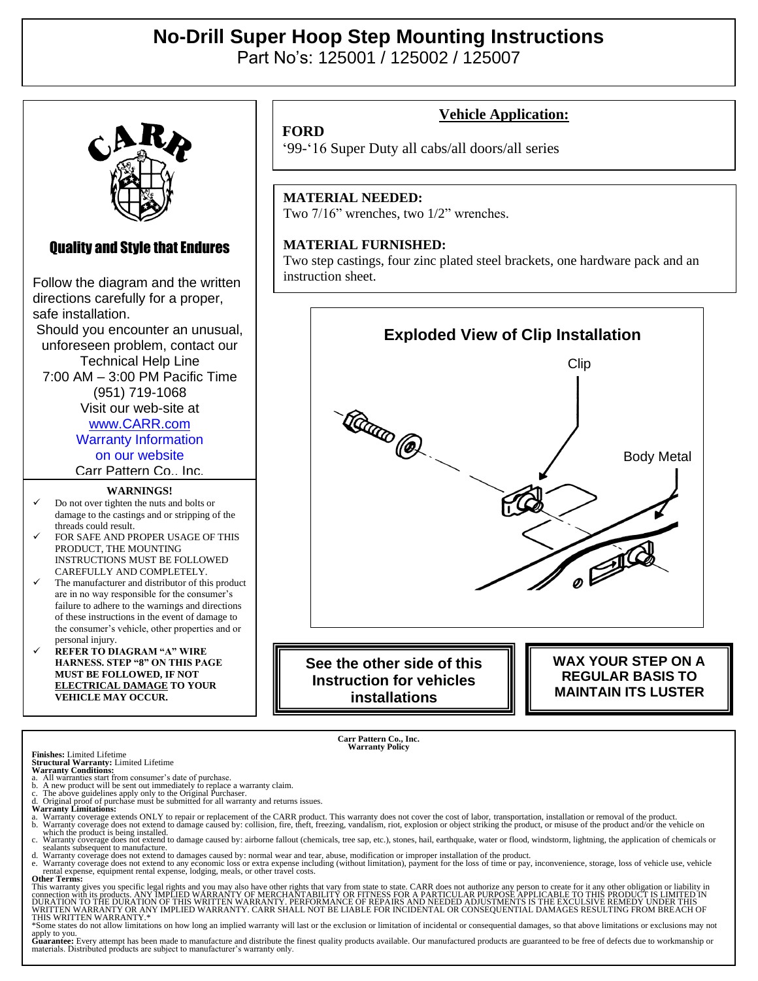## **No-Drill Super Hoop Step Mounting Instructions**  Part No's: 125001 / 125002 / 125007

## Quality and Style that Endures

Follow the diagram and the written directions carefully for a proper, safe installation. Should you encounter an unusual, unforeseen problem, contact our Technical Help Line

7:00 AM – 3:00 PM Pacific Time (951) 719-1068

> Visit our web-site at [www.CARR.com](http://www.carr.com/) Warranty Information

on our website

Carr Pattern Co., Inc.

#### **WARNINGS!**

- ✓ Do not over tighten the nuts and bolts or damage to the castings and or stripping of the threads could result.
- FOR SAFE AND PROPER USAGE OF THIS PRODUCT, THE MOUNTING INSTRUCTIONS MUST BE FOLLOWED CAREFULLY AND COMPLETELY.
- The manufacturer and distributor of this product are in no way responsible for the consumer's failure to adhere to the warnings and directions of these instructions in the event of damage to the consumer's vehicle, other properties and or personal injury.
- ✓ **REFER TO DIAGRAM "A" WIRE HARNESS. STEP "8" ON THIS PAGE MUST BE FOLLOWED, IF NOT ELECTRICAL DAMAGE TO YOUR VEHICLE MAY OCCUR.**

**Vehicle Application:**

## **FORD**

'99-'16 Super Duty all cabs/all doors/all series

#### **MATERIAL NEEDED:**

Two 7/16" wrenches, two 1/2" wrenches.

#### **MATERIAL FURNISHED:**

Two step castings, four zinc plated steel brackets, one hardware pack and an instruction sheet.



**installations**

**MAINTAIN ITS LUSTER**

**Carr Pattern Co., Inc. Warranty Policy**

**Finishes:** Limited Lifetime

- **Structural Warranty:** Limited Lifetime **Warranty Conditions:** a. All warranties start from consumer's date of purchase.
- 

b. A new product will be sent out immediately to replace a warranty claim.<br>c. The above guidelines apply only to the Original Purchaser.<br>d. Original proof of purchase must be submitted for all warranty and returns issues.<br>

- 
- a. Warranty coverage extends ONLY to repair or replacement of the CARR product. This warranty does not cover the cost of labor, transportation, installation or removal of the product.<br>which the product is being installed.<br>
- sealants subsequent to manufacture.<br>A Warranty coverage does not extend to damages caused by: normal wear and tear, abuse, modification or improper installation of the product.<br>A Warranty coverage does not extend to any ec rental expense, equipment rental expense, lodging, meals, or other travel costs. **Other Terms:**

This warranty gives you specific legal rights and you may also have other rights that vary from state to state. CARR does not authorize any person to create for it any other obligation or liability in<br>connection with its p

apply to you.<br>Guarantee: Every attempt has been made to manufacture and distribute the finest quality products available. Our manufactured products are guaranteed to be free of defects due to workmanship or<br>materials. Dist